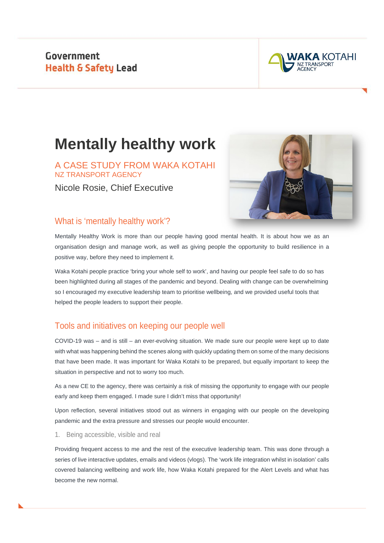Government **Health & Safety Lead** 



# **Mentally healthy work**

A CASE STUDY FROM WAKA KOTAHI NZ TRANSPORT AGENCY

Nicole Rosie, Chief Executive



### What is 'mentally healthy work'?

Mentally Healthy Work is more than our people having good mental health. It is about how we as an organisation design and manage work, as well as giving people the opportunity to build resilience in a positive way, before they need to implement it.

Waka Kotahi people practice 'bring your whole self to work', and having our people feel safe to do so has been highlighted during all stages of the pandemic and beyond. Dealing with change can be overwhelming so I encouraged my executive leadership team to prioritise wellbeing, and we provided useful tools that helped the people leaders to support their people.

## Tools and initiatives on keeping our people well

COVID-19 was – and is still – an ever-evolving situation. We made sure our people were kept up to date with what was happening behind the scenes along with quickly updating them on some of the many decisions that have been made. It was important for Waka Kotahi to be prepared, but equally important to keep the situation in perspective and not to worry too much.

As a new CE to the agency, there was certainly a risk of missing the opportunity to engage with our people early and keep them engaged. I made sure I didn't miss that opportunity!

Upon reflection, several initiatives stood out as winners in engaging with our people on the developing pandemic and the extra pressure and stresses our people would encounter.

1. Being accessible, visible and real

Providing frequent access to me and the rest of the executive leadership team. This was done through a series of live interactive updates, emails and videos (vlogs). The 'work life integration whilst in isolation' calls covered balancing wellbeing and work life, how Waka Kotahi prepared for the Alert Levels and what has become the new normal.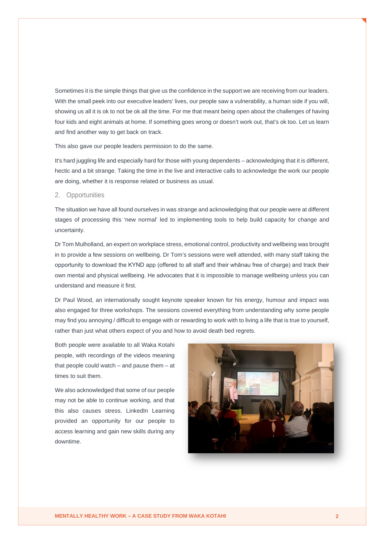Sometimes it is the simple things that give us the confidence in the support we are receiving from our leaders. With the small peek into our executive leaders' lives, our people saw a vulnerability, a human side if you will, showing us all it is ok to not be ok all the time. For me that meant being open about the challenges of having four kids and eight animals at home. If something goes wrong or doesn't work out, that's ok too. Let us learn and find another way to get back on track.

This also gave our people leaders permission to do the same.

It's hard juggling life and especially hard for those with young dependents – acknowledging that it is different, hectic and a bit strange. Taking the time in the live and interactive calls to acknowledge the work our people are doing, whether it is response related or business as usual.

#### 2. Opportunities

The situation we have all found ourselves in was strange and acknowledging that our people were at different stages of processing this 'new normal' led to implementing tools to help build capacity for change and uncertainty.

Dr Tom Mulholland, an expert on workplace stress, emotional control, productivity and wellbeing was brought in to provide a few sessions on wellbeing. Dr Tom's sessions were well attended, with many staff taking the opportunity to download the KYND app (offered to all staff and their whānau free of charge) and track their own mental and physical wellbeing. He advocates that it is impossible to manage wellbeing unless you can understand and measure it first.

Dr Paul Wood, an internationally sought keynote speaker known for his energy, humour and impact was also engaged for three workshops. The sessions covered everything from understanding why some people may find you annoying / difficult to engage with or rewarding to work with to living a life that is true to yourself, rather than just what others expect of you and how to avoid death bed regrets.

Both people were available to all Waka Kotahi people, with recordings of the videos meaning that people could watch – and pause them – at times to suit them.

We also acknowledged that some of our people may not be able to continue working, and that this also causes stress. LinkedIn Learning provided an opportunity for our people to access learning and gain new skills during any downtime.

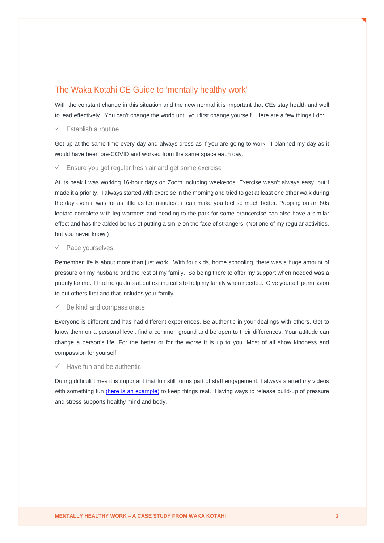## The Waka Kotahi CE Guide to 'mentally healthy work'

With the constant change in this situation and the new normal it is important that CEs stay health and well to lead effectively. You can't change the world until you first change yourself. Here are a few things I do:

#### Establish a routine

Get up at the same time every day and always dress as if you are going to work. I planned my day as it would have been pre-COVID and worked from the same space each day.

#### $\checkmark$  Ensure you get regular fresh air and get some exercise

At its peak I was working 16-hour days on Zoom including weekends. Exercise wasn't always easy, but I made it a priority. I always started with exercise in the morning and tried to get at least one other walk during the day even it was for as little as ten minutes', it can make you feel so much better. Popping on an 80s leotard complete with leg warmers and heading to the park for some prancercise can also have a similar effect and has the added bonus of putting a smile on the face of strangers. (Not one of my regular activities, but you never know.)

#### Pace yourselves

Remember life is about more than just work. With four kids, home schooling, there was a huge amount of pressure on my husband and the rest of my family. So being there to offer my support when needed was a priority for me. I had no qualms about exiting calls to help my family when needed. Give yourself permission to put others first and that includes your family.

#### Be kind and compassionate

Everyone is different and has had different experiences. Be authentic in your dealings with others. Get to know them on a personal level, find a common ground and be open to their differences. Your attitude can change a person's life. For the better or for the worse it is up to you. Most of all show kindness and compassion for yourself.

#### Have fun and be authentic

During difficult times it is important that fun still forms part of staff engagement. I always started my videos with something fun [\(here is an example\)](https://youtu.be/Apu-Vxa5ldY) to keep things real. Having ways to release build-up of pressure and stress supports healthy mind and body.